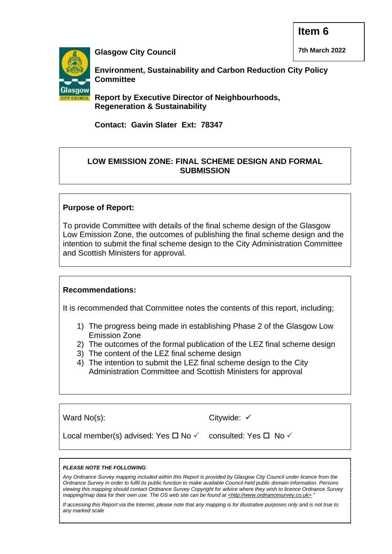**7th March 2022**



**Glasgow City Council**

**Environment, Sustainability and Carbon Reduction City Policy Committee** 

**Report by Executive Director of Neighbourhoods, Regeneration & Sustainability**

**Contact: Gavin Slater Ext: 78347**

#### **LOW EMISSION ZONE: FINAL SCHEME DESIGN AND FORMAL SUBMISSION**

#### **Purpose of Report:**

To provide Committee with details of the final scheme design of the Glasgow Low Emission Zone, the outcomes of publishing the final scheme design and the intention to submit the final scheme design to the City Administration Committee and Scottish Ministers for approval.

# **Recommendations:**

It is recommended that Committee notes the contents of this report, including;

- 1) The progress being made in establishing Phase 2 of the Glasgow Low Emission Zone
- 2) The outcomes of the formal publication of the LEZ final scheme design
- 3) The content of the LEZ final scheme design
- 4) The intention to submit the LEZ final scheme design to the City Administration Committee and Scottish Ministers for approval

Ward No(s):

Citywide: ✓

Local member(s) advised: Yes  $\Box$  No  $\checkmark$ 

consulted: Yes  $\Box$  No  $\checkmark$ 

#### *PLEASE NOTE THE FOLLOWING:*

*Any Ordnance Survey mapping included within this Report is provided by Glasgow City Council under licence from the Ordnance Survey in order to fulfil its public function to make available Council-held public domain information. Persons viewing this mapping should contact Ordnance Survey Copyright for advice where they wish to licence Ordnance Survey mapping/map data for their own use. The OS web site can be found at <http://www.ordnancesurvey.co.uk> "*

*If accessing this Report via the Internet, please note that any mapping is for illustrative purposes only and is not true to any marked scale*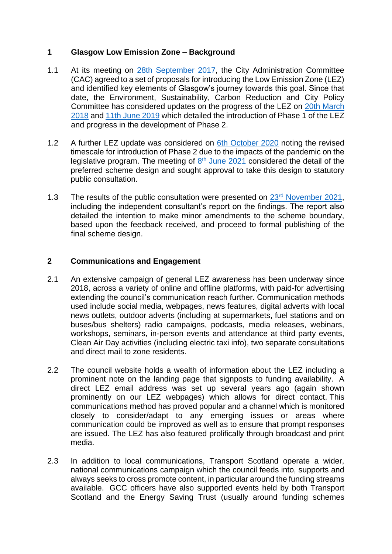#### **1 Glasgow Low Emission Zone – Background**

- 1.1 At its meeting on [28th September 2017,](https://www.glasgow.gov.uk/councillorsandcommittees/viewDoc.asp?c=P62AFQDNDNNTZLDX81) the City Administration Committee (CAC) agreed to a set of proposals for introducing the Low Emission Zone (LEZ) and identified key elements of Glasgow's journey towards this goal. Since that date, the Environment, Sustainability, Carbon Reduction and City Policy Committee has considered updates on the progress of the LEZ on [20th March](https://www.glasgow.gov.uk/councillorsandcommittees/viewDoc.asp?c=P62AFQDN2U2UUTDN2U)  [2018](https://www.glasgow.gov.uk/councillorsandcommittees/viewDoc.asp?c=P62AFQDN2U2UUTDN2U) and [11th June 2019](https://www.glasgow.gov.uk/councillorsandcommittees/viewDoc.asp?c=P62AFQDN0GDXT1DNZL) which detailed the introduction of Phase 1 of the LEZ and progress in the development of Phase 2.
- 1.2 A further LEZ update was considered on [6th October 2020](https://www.glasgow.gov.uk/councillorsandcommittees/viewDoc.asp?c=P62AFQDNDX2UT1NT0G) noting the revised timescale for introduction of Phase 2 due to the impacts of the pandemic on the legislative program. The meeting of  $8<sup>th</sup>$  [June 2021](https://www.glasgow.gov.uk/councillorsandcommittees/viewSelectedDocument.asp?c=P62AFQDNDX81UTZL81) considered the detail of the preferred scheme design and sought approval to take this design to statutory public consultation.
- 1.3 The results of the public consultation were presented on 23<sup>rd</sup> [November 2021,](https://www.glasgow.gov.uk/councillorsandcommittees/viewDoc.asp?c=P62AFQDNZL2U81DXUT) including the independent consultant's report on the findings. The report also detailed the intention to make minor amendments to the scheme boundary, based upon the feedback received, and proceed to formal publishing of the final scheme design.

#### **2 Communications and Engagement**

- 2.1 An extensive campaign of general LEZ awareness has been underway since 2018, across a variety of online and offline platforms, with paid-for advertising extending the council's communication reach further. Communication methods used include social media, webpages, news features, digital adverts with local news outlets, outdoor adverts (including at supermarkets, fuel stations and on buses/bus shelters) radio campaigns, podcasts, media releases, webinars, workshops, seminars, in-person events and attendance at third party events, Clean Air Day activities (including electric taxi info), two separate consultations and direct mail to zone residents.
- 2.2 The council website holds a wealth of information about the LEZ including a prominent note on the landing page that signposts to funding availability. A direct LEZ email address was set up several years ago (again shown prominently on our LEZ webpages) which allows for direct contact. This communications method has proved popular and a channel which is monitored closely to consider/adapt to any emerging issues or areas where communication could be improved as well as to ensure that prompt responses are issued. The LEZ has also featured prolifically through broadcast and print media.
- 2.3 In addition to local communications, Transport Scotland operate a wider, national communications campaign which the council feeds into, supports and always seeks to cross promote content, in particular around the funding streams available. GCC officers have also supported events held by both Transport Scotland and the Energy Saving Trust (usually around funding schemes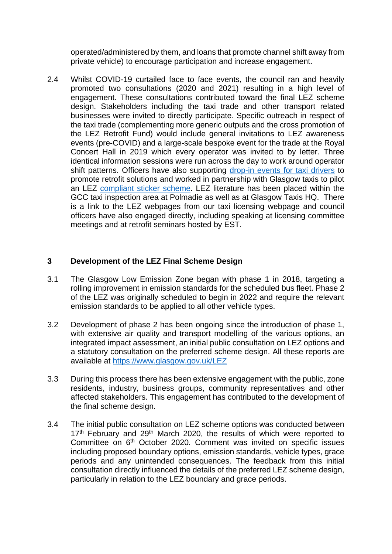operated/administered by them, and loans that promote channel shift away from private vehicle) to encourage participation and increase engagement.

2.4 Whilst COVID-19 curtailed face to face events, the council ran and heavily promoted two consultations (2020 and 2021) resulting in a high level of engagement. These consultations contributed toward the final LEZ scheme design. Stakeholders including the taxi trade and other transport related businesses were invited to directly participate. Specific outreach in respect of the taxi trade (complementing more generic outputs and the cross promotion of the LEZ Retrofit Fund) would include general invitations to LEZ awareness events (pre-COVID) and a large-scale bespoke event for the trade at the Royal Concert Hall in 2019 which every operator was invited to by letter. Three identical information sessions were run across the day to work around operator shift patterns. Officers have also supporting [drop-in events for taxi drivers](https://www.glasgow.gov.uk/article/25182/LEZ-Support-Fund-Drop-In-Event-for-Taxi-Operators) to promote retrofit solutions and worked in partnership with Glasgow taxis to pilot an LEZ [compliant sticker scheme.](https://glasgow.gov.uk/article/25582/Taxis-Prepare-for-Glasgows-Low-Emission-Zone) LEZ literature has been placed within the GCC taxi inspection area at Polmadie as well as at Glasgow Taxis HQ. There is a link to the LEZ webpages from our taxi licensing webpage and council officers have also engaged directly, including speaking at licensing committee meetings and at retrofit seminars hosted by EST.

# **3 Development of the LEZ Final Scheme Design**

- 3.1 The Glasgow Low Emission Zone began with phase 1 in 2018, targeting a rolling improvement in emission standards for the scheduled bus fleet. Phase 2 of the LEZ was originally scheduled to begin in 2022 and require the relevant emission standards to be applied to all other vehicle types.
- 3.2 Development of phase 2 has been ongoing since the introduction of phase 1, with extensive air quality and transport modelling of the various options, an integrated impact assessment, an initial public consultation on LEZ options and a statutory consultation on the preferred scheme design. All these reports are available at<https://www.glasgow.gov.uk/LEZ>
- 3.3 During this process there has been extensive engagement with the public, zone residents, industry, business groups, community representatives and other affected stakeholders. This engagement has contributed to the development of the final scheme design.
- 3.4 The initial public consultation on LEZ scheme options was conducted between 17<sup>th</sup> February and 29<sup>th</sup> March 2020, the results of which were reported to Committee on 6<sup>th</sup> October 2020. Comment was invited on specific issues including proposed boundary options, emission standards, vehicle types, grace periods and any unintended consequences. The feedback from this initial consultation directly influenced the details of the preferred LEZ scheme design, particularly in relation to the LEZ boundary and grace periods.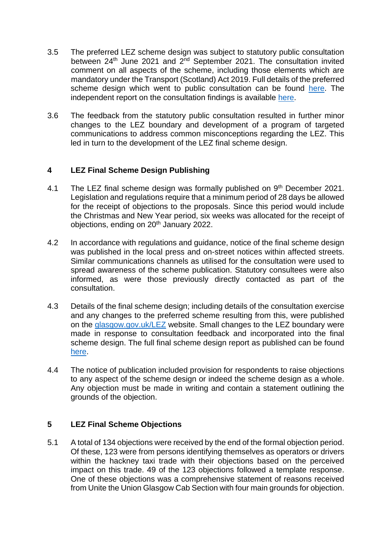- 3.5 The preferred LEZ scheme design was subject to statutory public consultation between 24<sup>th</sup> June 2021 and 2<sup>nd</sup> September 2021. The consultation invited comment on all aspects of the scheme, including those elements which are mandatory under the Transport (Scotland) Act 2019. Full details of the preferred scheme design which went to public consultation can be found [here.](https://www.glasgow.gov.uk/CHttpHandler.ashx?id=53713&p=0) The independent report on the consultation findings is available [here.](https://www.glasgow.gov.uk/CHttpHandler.ashx?id=55269&p=0)
- 3.6 The feedback from the statutory public consultation resulted in further minor changes to the LEZ boundary and development of a program of targeted communications to address common misconceptions regarding the LEZ. This led in turn to the development of the LEZ final scheme design.

# **4 LEZ Final Scheme Design Publishing**

- 4.1 The LEZ final scheme design was formally published on 9<sup>th</sup> December 2021. Legislation and regulations require that a minimum period of 28 days be allowed for the receipt of objections to the proposals. Since this period would include the Christmas and New Year period, six weeks was allocated for the receipt of objections, ending on 20<sup>th</sup> January 2022.
- 4.2 In accordance with regulations and guidance, notice of the final scheme design was published in the local press and on-street notices within affected streets. Similar communications channels as utilised for the consultation were used to spread awareness of the scheme publication. Statutory consultees were also informed, as were those previously directly contacted as part of the consultation.
- 4.3 Details of the final scheme design; including details of the consultation exercise and any changes to the preferred scheme resulting from this, were published on the [glasgow.gov.uk/LEZ](https://www.glasgow.gov.uk/LEZ) website. Small changes to the LEZ boundary were made in response to consultation feedback and incorporated into the final scheme design. The full final scheme design report as published can be found [here.](https://www.glasgow.gov.uk/CHttpHandler.ashx?id=55545&p=0)
- 4.4 The notice of publication included provision for respondents to raise objections to any aspect of the scheme design or indeed the scheme design as a whole. Any objection must be made in writing and contain a statement outlining the grounds of the objection.

# **5 LEZ Final Scheme Objections**

5.1 A total of 134 objections were received by the end of the formal objection period. Of these, 123 were from persons identifying themselves as operators or drivers within the hackney taxi trade with their objections based on the perceived impact on this trade. 49 of the 123 objections followed a template response. One of these objections was a comprehensive statement of reasons received from Unite the Union Glasgow Cab Section with four main grounds for objection.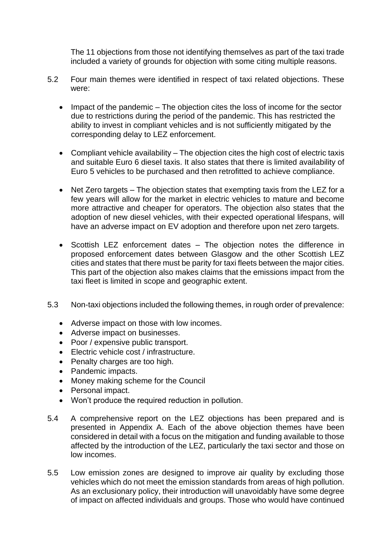The 11 objections from those not identifying themselves as part of the taxi trade included a variety of grounds for objection with some citing multiple reasons.

- 5.2 Four main themes were identified in respect of taxi related objections. These were:
	- Impact of the pandemic The objection cites the loss of income for the sector due to restrictions during the period of the pandemic. This has restricted the ability to invest in compliant vehicles and is not sufficiently mitigated by the corresponding delay to LEZ enforcement.
	- Compliant vehicle availability The objection cites the high cost of electric taxis and suitable Euro 6 diesel taxis. It also states that there is limited availability of Euro 5 vehicles to be purchased and then retrofitted to achieve compliance.
	- Net Zero targets The objection states that exempting taxis from the LEZ for a few years will allow for the market in electric vehicles to mature and become more attractive and cheaper for operators. The objection also states that the adoption of new diesel vehicles, with their expected operational lifespans, will have an adverse impact on EV adoption and therefore upon net zero targets.
	- Scottish LEZ enforcement dates The objection notes the difference in proposed enforcement dates between Glasgow and the other Scottish LEZ cities and states that there must be parity for taxi fleets between the major cities. This part of the objection also makes claims that the emissions impact from the taxi fleet is limited in scope and geographic extent.
- 5.3 Non-taxi objections included the following themes, in rough order of prevalence:
	- Adverse impact on those with low incomes.
	- Adverse impact on businesses.
	- Poor / expensive public transport.
	- Electric vehicle cost / infrastructure.
	- Penalty charges are too high.
	- Pandemic impacts.
	- Money making scheme for the Council
	- Personal impact.
	- Won't produce the required reduction in pollution.
- 5.4 A comprehensive report on the LEZ objections has been prepared and is presented in Appendix A. Each of the above objection themes have been considered in detail with a focus on the mitigation and funding available to those affected by the introduction of the LEZ, particularly the taxi sector and those on low incomes.
- 5.5 Low emission zones are designed to improve air quality by excluding those vehicles which do not meet the emission standards from areas of high pollution. As an exclusionary policy, their introduction will unavoidably have some degree of impact on affected individuals and groups. Those who would have continued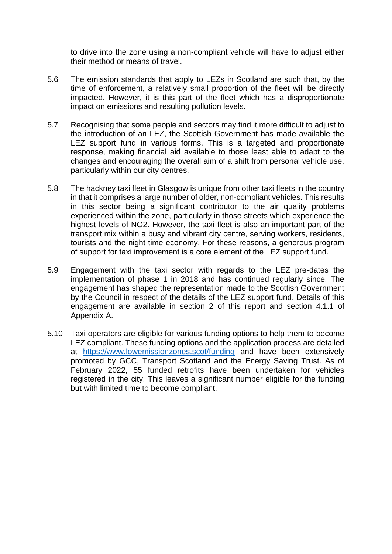to drive into the zone using a non-compliant vehicle will have to adjust either their method or means of travel.

- 5.6 The emission standards that apply to LEZs in Scotland are such that, by the time of enforcement, a relatively small proportion of the fleet will be directly impacted. However, it is this part of the fleet which has a disproportionate impact on emissions and resulting pollution levels.
- 5.7 Recognising that some people and sectors may find it more difficult to adjust to the introduction of an LEZ, the Scottish Government has made available the LEZ support fund in various forms. This is a targeted and proportionate response, making financial aid available to those least able to adapt to the changes and encouraging the overall aim of a shift from personal vehicle use, particularly within our city centres.
- 5.8 The hackney taxi fleet in Glasgow is unique from other taxi fleets in the country in that it comprises a large number of older, non-compliant vehicles. This results in this sector being a significant contributor to the air quality problems experienced within the zone, particularly in those streets which experience the highest levels of NO2. However, the taxi fleet is also an important part of the transport mix within a busy and vibrant city centre, serving workers, residents, tourists and the night time economy. For these reasons, a generous program of support for taxi improvement is a core element of the LEZ support fund.
- 5.9 Engagement with the taxi sector with regards to the LEZ pre-dates the implementation of phase 1 in 2018 and has continued regularly since. The engagement has shaped the representation made to the Scottish Government by the Council in respect of the details of the LEZ support fund. Details of this engagement are available in section 2 of this report and section 4.1.1 of Appendix A.
- 5.10 Taxi operators are eligible for various funding options to help them to become LEZ compliant. These funding options and the application process are detailed at <https://www.lowemissionzones.scot/funding> and have been extensively promoted by GCC, Transport Scotland and the Energy Saving Trust. As of February 2022, 55 funded retrofits have been undertaken for vehicles registered in the city. This leaves a significant number eligible for the funding but with limited time to become compliant.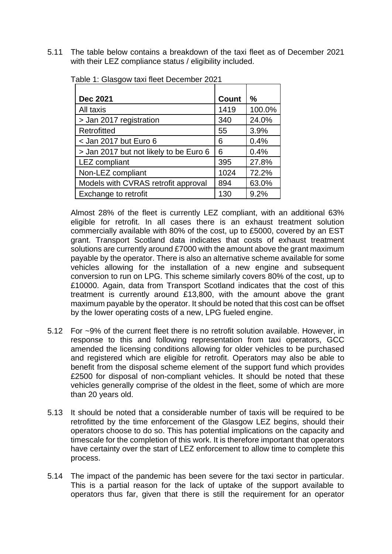5.11 The table below contains a breakdown of the taxi fleet as of December 2021 with their LEZ compliance status / eligibility included.

| <b>Dec 2021</b>                        | <b>Count</b> | $\frac{0}{0}$ |
|----------------------------------------|--------------|---------------|
| All taxis                              | 1419         | 100.0%        |
| > Jan 2017 registration                | 340          | 24.0%         |
| Retrofitted                            | 55           | 3.9%          |
| $<$ Jan 2017 but Euro 6                | 6            | 0.4%          |
| > Jan 2017 but not likely to be Euro 6 | 6            | 0.4%          |
| <b>LEZ</b> compliant                   | 395          | 27.8%         |
| Non-LEZ compliant                      | 1024         | 72.2%         |
| Models with CVRAS retrofit approval    | 894          | 63.0%         |
| Exchange to retrofit                   | 130          | 9.2%          |

Table 1: Glasgow taxi fleet December 2021

Almost 28% of the fleet is currently LEZ compliant, with an additional 63% eligible for retrofit. In all cases there is an exhaust treatment solution commercially available with 80% of the cost, up to £5000, covered by an EST grant. Transport Scotland data indicates that costs of exhaust treatment solutions are currently around £7000 with the amount above the grant maximum payable by the operator. There is also an alternative scheme available for some vehicles allowing for the installation of a new engine and subsequent conversion to run on LPG. This scheme similarly covers 80% of the cost, up to £10000. Again, data from Transport Scotland indicates that the cost of this treatment is currently around £13,800, with the amount above the grant maximum payable by the operator. It should be noted that this cost can be offset by the lower operating costs of a new, LPG fueled engine.

- 5.12 For ~9% of the current fleet there is no retrofit solution available. However, in response to this and following representation from taxi operators, GCC amended the licensing conditions allowing for older vehicles to be purchased and registered which are eligible for retrofit. Operators may also be able to benefit from the disposal scheme element of the support fund which provides £2500 for disposal of non-compliant vehicles. It should be noted that these vehicles generally comprise of the oldest in the fleet, some of which are more than 20 years old.
- 5.13 It should be noted that a considerable number of taxis will be required to be retrofitted by the time enforcement of the Glasgow LEZ begins, should their operators choose to do so. This has potential implications on the capacity and timescale for the completion of this work. It is therefore important that operators have certainty over the start of LEZ enforcement to allow time to complete this process.
- 5.14 The impact of the pandemic has been severe for the taxi sector in particular. This is a partial reason for the lack of uptake of the support available to operators thus far, given that there is still the requirement for an operator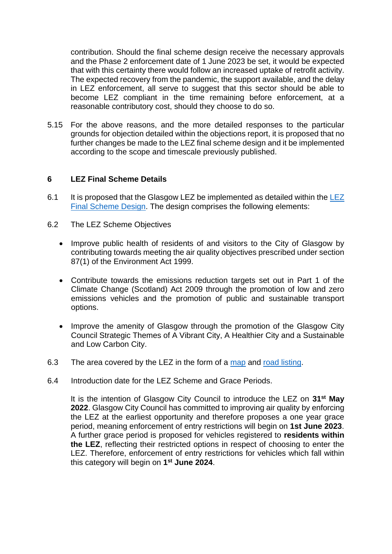contribution. Should the final scheme design receive the necessary approvals and the Phase 2 enforcement date of 1 June 2023 be set, it would be expected that with this certainty there would follow an increased uptake of retrofit activity. The expected recovery from the pandemic, the support available, and the delay in LEZ enforcement, all serve to suggest that this sector should be able to become LEZ compliant in the time remaining before enforcement, at a reasonable contributory cost, should they choose to do so.

5.15 For the above reasons, and the more detailed responses to the particular grounds for objection detailed within the objections report, it is proposed that no further changes be made to the LEZ final scheme design and it be implemented according to the scope and timescale previously published.

#### **6 LEZ Final Scheme Details**

- 6.1 It is proposed that the Glasgow [LEZ](https://www.glasgow.gov.uk/CHttpHandler.ashx?id=55545&p=0) be implemented as detailed within the LEZ [Final Scheme Design.](https://www.glasgow.gov.uk/CHttpHandler.ashx?id=55545&p=0) The design comprises the following elements:
- 6.2 The LEZ Scheme Objectives
	- Improve public health of residents of and visitors to the City of Glasgow by contributing towards meeting the air quality objectives prescribed under section 87(1) of the Environment Act 1999.
	- Contribute towards the emissions reduction targets set out in Part 1 of the Climate Change (Scotland) Act 2009 through the promotion of low and zero emissions vehicles and the promotion of public and sustainable transport options.
	- Improve the amenity of Glasgow through the promotion of the Glasgow City Council Strategic Themes of A Vibrant City, A Healthier City and a Sustainable and Low Carbon City.
- 6.3 The area covered by the LEZ in the form of a [map](https://www.glasgow.gov.uk/CHttpHandler.ashx?id=53693&p=0) and [road listing.](https://www.glasgow.gov.uk/CHttpHandler.ashx?id=53703&p=0)
- 6.4 Introduction date for the LEZ Scheme and Grace Periods.

It is the intention of Glasgow City Council to introduce the LEZ on **31st May 2022**. Glasgow City Council has committed to improving air quality by enforcing the LEZ at the earliest opportunity and therefore proposes a one year grace period, meaning enforcement of entry restrictions will begin on **1st June 2023**. A further grace period is proposed for vehicles registered to **residents within the LEZ**, reflecting their restricted options in respect of choosing to enter the LEZ. Therefore, enforcement of entry restrictions for vehicles which fall within this category will begin on **1 st June 2024**.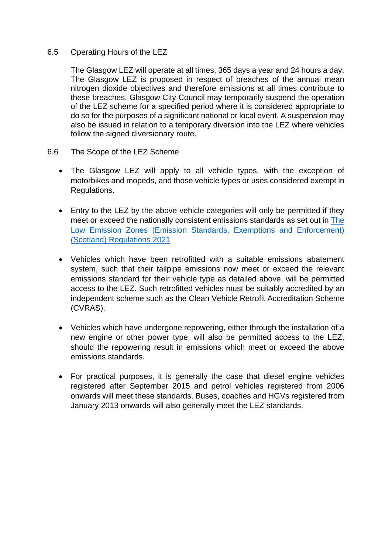#### 6.5 Operating Hours of the LEZ

The Glasgow LEZ will operate at all times, 365 days a year and 24 hours a day. The Glasgow LEZ is proposed in respect of breaches of the annual mean nitrogen dioxide objectives and therefore emissions at all times contribute to these breaches. Glasgow City Council may temporarily suspend the operation of the LEZ scheme for a specified period where it is considered appropriate to do so for the purposes of a significant national or local event. A suspension may also be issued in relation to a temporary diversion into the LEZ where vehicles follow the signed diversionary route.

- 6.6 The Scope of the LEZ Scheme
	- The Glasgow LEZ will apply to all vehicle types, with the exception of motorbikes and mopeds, and those vehicle types or uses considered exempt in Regulations.
	- Entry to the LEZ by the above vehicle categories will only be permitted if they meet or exceed the nationally consistent emissions standards as set out in [The](https://www.legislation.gov.uk/sdsi/2021/9780111048887)  [Low Emission Zones \(Emission Standards, Exemptions and Enforcement\)](https://www.legislation.gov.uk/sdsi/2021/9780111048887)  [\(Scotland\) Regulations 2021](https://www.legislation.gov.uk/sdsi/2021/9780111048887)
	- Vehicles which have been retrofitted with a suitable emissions abatement system, such that their tailpipe emissions now meet or exceed the relevant emissions standard for their vehicle type as detailed above, will be permitted access to the LEZ. Such retrofitted vehicles must be suitably accredited by an independent scheme such as the Clean Vehicle Retrofit Accreditation Scheme (CVRAS).
	- Vehicles which have undergone repowering, either through the installation of a new engine or other power type, will also be permitted access to the LEZ, should the repowering result in emissions which meet or exceed the above emissions standards.
	- For practical purposes, it is generally the case that diesel engine vehicles registered after September 2015 and petrol vehicles registered from 2006 onwards will meet these standards. Buses, coaches and HGVs registered from January 2013 onwards will also generally meet the LEZ standards.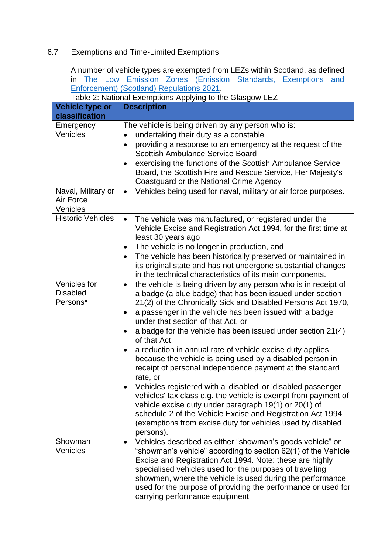# 6.7 Exemptions and Time-Limited Exemptions

A number of vehicle types are exempted from LEZs within Scotland, as defined in [The Low Emission Zones \(Emission Standards, Exemptions and](https://www.legislation.gov.uk/sdsi/2021/9780111048887)  [Enforcement\) \(Scotland\) Regulations 2021.](https://www.legislation.gov.uk/sdsi/2021/9780111048887)

| Table 2: National Exemptions Applying to the Glasgow LEZ |                                                                             |  |
|----------------------------------------------------------|-----------------------------------------------------------------------------|--|
| Vehicle type or                                          | <b>Description</b>                                                          |  |
| classification                                           |                                                                             |  |
| Emergency                                                | The vehicle is being driven by any person who is:                           |  |
| Vehicles                                                 | undertaking their duty as a constable<br>$\bullet$                          |  |
|                                                          | providing a response to an emergency at the request of the<br>$\bullet$     |  |
|                                                          | <b>Scottish Ambulance Service Board</b>                                     |  |
|                                                          | exercising the functions of the Scottish Ambulance Service<br>$\bullet$     |  |
|                                                          | Board, the Scottish Fire and Rescue Service, Her Majesty's                  |  |
|                                                          | Coastguard or the National Crime Agency                                     |  |
| Naval, Military or                                       | Vehicles being used for naval, military or air force purposes.<br>$\bullet$ |  |
| Air Force                                                |                                                                             |  |
| <b>Vehicles</b>                                          |                                                                             |  |
| <b>Historic Vehicles</b>                                 | The vehicle was manufactured, or registered under the<br>$\bullet$          |  |
|                                                          | Vehicle Excise and Registration Act 1994, for the first time at             |  |
|                                                          | least 30 years ago                                                          |  |
|                                                          | The vehicle is no longer in production, and<br>$\bullet$                    |  |
|                                                          | The vehicle has been historically preserved or maintained in                |  |
|                                                          | its original state and has not undergone substantial changes                |  |
|                                                          | in the technical characteristics of its main components.                    |  |
| Vehicles for                                             | the vehicle is being driven by any person who is in receipt of<br>$\bullet$ |  |
| <b>Disabled</b>                                          | a badge (a blue badge) that has been issued under section                   |  |
| Persons*                                                 | 21(2) of the Chronically Sick and Disabled Persons Act 1970,                |  |
|                                                          | a passenger in the vehicle has been issued with a badge<br>$\bullet$        |  |
|                                                          | under that section of that Act, or                                          |  |
|                                                          | a badge for the vehicle has been issued under section 21(4)<br>$\bullet$    |  |
|                                                          | of that Act,                                                                |  |
|                                                          | a reduction in annual rate of vehicle excise duty applies<br>$\bullet$      |  |
|                                                          | because the vehicle is being used by a disabled person in                   |  |
|                                                          | receipt of personal independence payment at the standard                    |  |
|                                                          | rate, or                                                                    |  |
|                                                          | Vehicles registered with a 'disabled' or 'disabled passenger                |  |
|                                                          | vehicles' tax class e.g. the vehicle is exempt from payment of              |  |
|                                                          | vehicle excise duty under paragraph 19(1) or 20(1) of                       |  |
|                                                          | schedule 2 of the Vehicle Excise and Registration Act 1994                  |  |
|                                                          | (exemptions from excise duty for vehicles used by disabled                  |  |
|                                                          | persons).                                                                   |  |
| Showman                                                  | Vehicles described as either "showman's goods vehicle" or                   |  |
| <b>Vehicles</b>                                          | "showman's vehicle" according to section 62(1) of the Vehicle               |  |
|                                                          | Excise and Registration Act 1994. Note: these are highly                    |  |
|                                                          | specialised vehicles used for the purposes of travelling                    |  |
|                                                          | showmen, where the vehicle is used during the performance,                  |  |
|                                                          | used for the purpose of providing the performance or used for               |  |
|                                                          | carrying performance equipment                                              |  |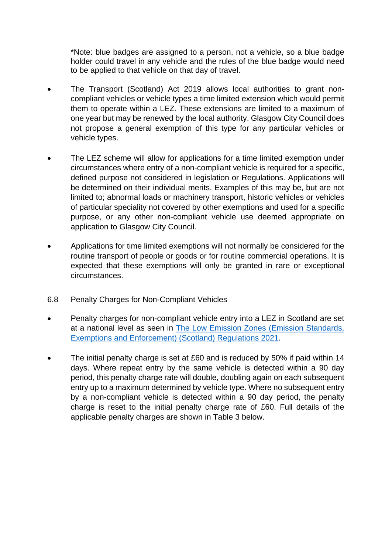\*Note: blue badges are assigned to a person, not a vehicle, so a blue badge holder could travel in any vehicle and the rules of the blue badge would need to be applied to that vehicle on that day of travel.

- The Transport (Scotland) Act 2019 allows local authorities to grant noncompliant vehicles or vehicle types a time limited extension which would permit them to operate within a LEZ. These extensions are limited to a maximum of one year but may be renewed by the local authority. Glasgow City Council does not propose a general exemption of this type for any particular vehicles or vehicle types.
- The LEZ scheme will allow for applications for a time limited exemption under circumstances where entry of a non-compliant vehicle is required for a specific, defined purpose not considered in legislation or Regulations. Applications will be determined on their individual merits. Examples of this may be, but are not limited to; abnormal loads or machinery transport, historic vehicles or vehicles of particular speciality not covered by other exemptions and used for a specific purpose, or any other non-compliant vehicle use deemed appropriate on application to Glasgow City Council.
- Applications for time limited exemptions will not normally be considered for the routine transport of people or goods or for routine commercial operations. It is expected that these exemptions will only be granted in rare or exceptional circumstances.
- 6.8 Penalty Charges for Non-Compliant Vehicles
- Penalty charges for non-compliant vehicle entry into a LEZ in Scotland are set at a national level as seen in [The Low Emission Zones \(Emission Standards,](https://www.legislation.gov.uk/sdsi/2021/9780111048887)  [Exemptions and Enforcement\) \(Scotland\) Regulations 2021.](https://www.legislation.gov.uk/sdsi/2021/9780111048887)
- The initial penalty charge is set at £60 and is reduced by 50% if paid within 14 days. Where repeat entry by the same vehicle is detected within a 90 day period, this penalty charge rate will double, doubling again on each subsequent entry up to a maximum determined by vehicle type. Where no subsequent entry by a non-compliant vehicle is detected within a 90 day period, the penalty charge is reset to the initial penalty charge rate of £60. Full details of the applicable penalty charges are shown in Table 3 below.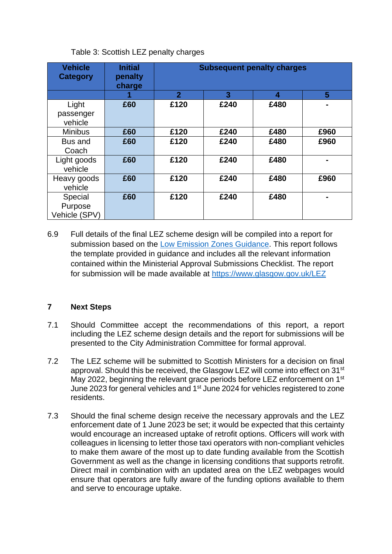# Table 3: Scottish LEZ penalty charges

| <b>Vehicle</b><br><b>Category</b> | <b>Initial</b><br>penalty<br>charge | <b>Subsequent penalty charges</b> |      |      |                |
|-----------------------------------|-------------------------------------|-----------------------------------|------|------|----------------|
|                                   |                                     | $\overline{2}$                    | 3    | 4    | 5              |
| Light                             | £60                                 | £120                              | £240 | £480 | $\blacksquare$ |
| passenger                         |                                     |                                   |      |      |                |
| vehicle                           |                                     |                                   |      |      |                |
| <b>Minibus</b>                    | £60                                 | £120                              | £240 | £480 | £960           |
| Bus and                           | £60                                 | £120                              | £240 | £480 | £960           |
| Coach                             |                                     |                                   |      |      |                |
| Light goods                       | £60                                 | £120                              | £240 | £480 | $\blacksquare$ |
| vehicle                           |                                     |                                   |      |      |                |
| Heavy goods                       | £60                                 | £120                              | £240 | £480 | £960           |
| vehicle                           |                                     |                                   |      |      |                |
| Special                           | £60                                 | £120                              | £240 | £480 |                |
| Purpose                           |                                     |                                   |      |      |                |
| Vehicle (SPV)                     |                                     |                                   |      |      |                |

6.9 Full details of the final LEZ scheme design will be compiled into a report for submission based on the [Low Emission Zones Guidance.](https://www.transport.gov.scot/publication/low-emission-zone-guidance/) This report follows the template provided in guidance and includes all the relevant information contained within the Ministerial Approval Submissions Checklist. The report for submission will be made available at<https://www.glasgow.gov.uk/LEZ>

# **7 Next Steps**

- 7.1 Should Committee accept the recommendations of this report, a report including the LEZ scheme design details and the report for submissions will be presented to the City Administration Committee for formal approval.
- 7.2 The LEZ scheme will be submitted to Scottish Ministers for a decision on final approval. Should this be received, the Glasgow LEZ will come into effect on 31<sup>st</sup> May 2022, beginning the relevant grace periods before LEZ enforcement on 1<sup>st</sup> June 2023 for general vehicles and 1st June 2024 for vehicles registered to zone residents.
- 7.3 Should the final scheme design receive the necessary approvals and the LEZ enforcement date of 1 June 2023 be set; it would be expected that this certainty would encourage an increased uptake of retrofit options. Officers will work with colleagues in licensing to letter those taxi operators with non-compliant vehicles to make them aware of the most up to date funding available from the Scottish Government as well as the change in licensing conditions that supports retrofit. Direct mail in combination with an updated area on the LEZ webpages would ensure that operators are fully aware of the funding options available to them and serve to encourage uptake.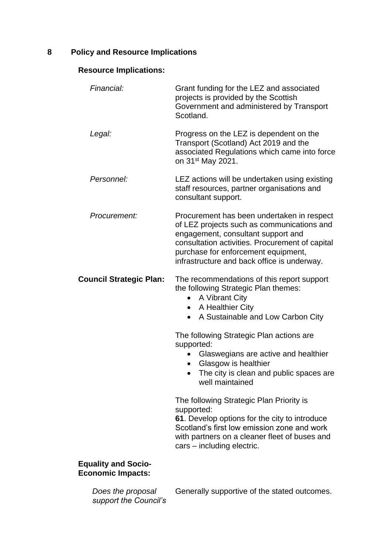# **8 Policy and Resource Implications**

# **Resource Implications:**

| Financial:                                             | Grant funding for the LEZ and associated<br>projects is provided by the Scottish<br>Government and administered by Transport<br>Scotland.                                                                                                                               |
|--------------------------------------------------------|-------------------------------------------------------------------------------------------------------------------------------------------------------------------------------------------------------------------------------------------------------------------------|
| Legal:                                                 | Progress on the LEZ is dependent on the<br>Transport (Scotland) Act 2019 and the<br>associated Regulations which came into force<br>on 31 <sup>st</sup> May 2021.                                                                                                       |
| Personnel:                                             | LEZ actions will be undertaken using existing<br>staff resources, partner organisations and<br>consultant support.                                                                                                                                                      |
| Procurement:                                           | Procurement has been undertaken in respect<br>of LEZ projects such as communications and<br>engagement, consultant support and<br>consultation activities. Procurement of capital<br>purchase for enforcement equipment,<br>infrastructure and back office is underway. |
| <b>Council Strategic Plan:</b>                         | The recommendations of this report support<br>the following Strategic Plan themes:<br>A Vibrant City<br>A Healthier City<br>$\bullet$<br>A Sustainable and Low Carbon City<br>$\bullet$                                                                                 |
|                                                        | The following Strategic Plan actions are<br>supported:<br>Glaswegians are active and healthier<br>Glasgow is healthier<br>The city is clean and public spaces are<br>$\bullet$<br>well maintained                                                                       |
|                                                        | The following Strategic Plan Priority is<br>supported:<br>61. Develop options for the city to introduce<br>Scotland's first low emission zone and work<br>with partners on a cleaner fleet of buses and<br>cars - including electric.                                   |
| <b>Equality and Socio-</b><br><b>Economic Impacts:</b> |                                                                                                                                                                                                                                                                         |

*Does the proposal support the Council's*  Generally supportive of the stated outcomes.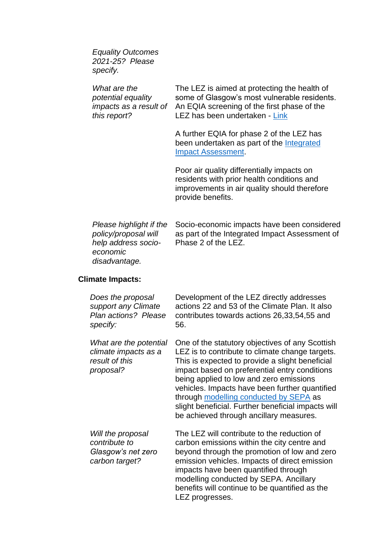*Equality Outcomes 2021-25? Please specify.*

*What are the potential equality impacts as a result of this report?* The LEZ is aimed at protecting the health of some of Glasgow's most vulnerable residents. An EQIA screening of the first phase of the LEZ has been undertaken - [Link](https://www.glasgow.gov.uk/CHttpHandler.ashx?id=45428&p=0) A further EQIA for phase 2 of the LEZ has been undertaken as part of the [Integrated](https://www.glasgow.gov.uk/CHttpHandler.ashx?id=53679&p=0)  [Impact Assessment.](https://www.glasgow.gov.uk/CHttpHandler.ashx?id=53679&p=0) Poor air quality differentially impacts on residents with prior health conditions and improvements in air quality should therefore provide benefits. *Please highlight if the policy/proposal will help address socioeconomic disadvantage.* Socio-economic impacts have been considered as part of the Integrated Impact Assessment of Phase 2 of the LEZ. **Climate Impacts:** *Does the proposal support any Climate Plan actions? Please specify:* Development of the LEZ directly addresses actions 22 and 53 of the Climate Plan. It also contributes towards actions 26,33,54,55 and 56.

*What are the potential climate impacts as a result of this proposal?* One of the statutory objectives of any Scottish LEZ is to contribute to climate change targets. This is expected to provide a slight beneficial impact based on preferential entry conditions being applied to low and zero emissions vehicles. Impacts have been further quantified through [modelling conducted by SEPA](https://www.glasgow.gov.uk/CHttpHandler.ashx?id=55773&p=0) as slight beneficial. Further beneficial impacts will be achieved through ancillary measures. *Will the proposal contribute to*  The LEZ will contribute to the reduction of carbon emissions within the city centre and

*Glasgow's net zero carbon target?* beyond through the promotion of low and zero emission vehicles. Impacts of direct emission impacts have been quantified through modelling conducted by SEPA. Ancillary benefits will continue to be quantified as the LEZ progresses.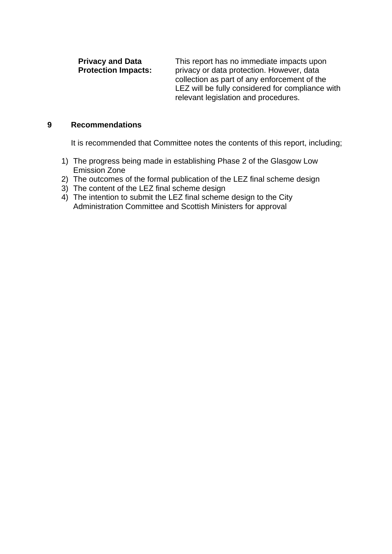**Privacy and Data Protection Impacts:** This report has no immediate impacts upon privacy or data protection. However, data collection as part of any enforcement of the LEZ will be fully considered for compliance with relevant legislation and procedures.

#### **9 Recommendations**

It is recommended that Committee notes the contents of this report, including;

- 1) The progress being made in establishing Phase 2 of the Glasgow Low Emission Zone
- 2) The outcomes of the formal publication of the LEZ final scheme design
- 3) The content of the LEZ final scheme design
- 4) The intention to submit the LEZ final scheme design to the City Administration Committee and Scottish Ministers for approval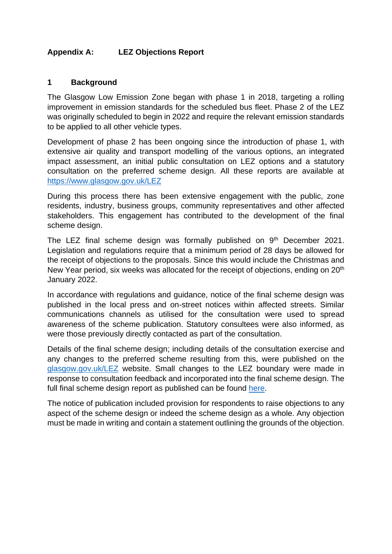# **Appendix A: LEZ Objections Report**

#### **1 Background**

The Glasgow Low Emission Zone began with phase 1 in 2018, targeting a rolling improvement in emission standards for the scheduled bus fleet. Phase 2 of the LEZ was originally scheduled to begin in 2022 and require the relevant emission standards to be applied to all other vehicle types.

Development of phase 2 has been ongoing since the introduction of phase 1, with extensive air quality and transport modelling of the various options, an integrated impact assessment, an initial public consultation on LEZ options and a statutory consultation on the preferred scheme design. All these reports are available at <https://www.glasgow.gov.uk/LEZ>

During this process there has been extensive engagement with the public, zone residents, industry, business groups, community representatives and other affected stakeholders. This engagement has contributed to the development of the final scheme design.

The LEZ final scheme design was formally published on 9<sup>th</sup> December 2021. Legislation and regulations require that a minimum period of 28 days be allowed for the receipt of objections to the proposals. Since this would include the Christmas and New Year period, six weeks was allocated for the receipt of objections, ending on 20<sup>th</sup> January 2022.

In accordance with regulations and guidance, notice of the final scheme design was published in the local press and on-street notices within affected streets. Similar communications channels as utilised for the consultation were used to spread awareness of the scheme publication. Statutory consultees were also informed, as were those previously directly contacted as part of the consultation.

Details of the final scheme design; including details of the consultation exercise and any changes to the preferred scheme resulting from this, were published on the [glasgow.gov.uk/LEZ](https://www.glasgow.gov.uk/LEZ) website. Small changes to the LEZ boundary were made in response to consultation feedback and incorporated into the final scheme design. The full final scheme design report as published can be found [here.](https://www.glasgow.gov.uk/CHttpHandler.ashx?id=55545&p=0)

The notice of publication included provision for respondents to raise objections to any aspect of the scheme design or indeed the scheme design as a whole. Any objection must be made in writing and contain a statement outlining the grounds of the objection.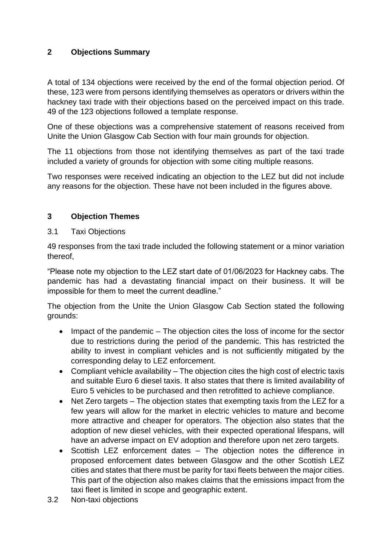# **2 Objections Summary**

A total of 134 objections were received by the end of the formal objection period. Of these, 123 were from persons identifying themselves as operators or drivers within the hackney taxi trade with their objections based on the perceived impact on this trade. 49 of the 123 objections followed a template response.

One of these objections was a comprehensive statement of reasons received from Unite the Union Glasgow Cab Section with four main grounds for objection.

The 11 objections from those not identifying themselves as part of the taxi trade included a variety of grounds for objection with some citing multiple reasons.

Two responses were received indicating an objection to the LEZ but did not include any reasons for the objection. These have not been included in the figures above.

# **3 Objection Themes**

#### 3.1 Taxi Objections

49 responses from the taxi trade included the following statement or a minor variation thereof,

"Please note my objection to the LEZ start date of 01/06/2023 for Hackney cabs. The pandemic has had a devastating financial impact on their business. It will be impossible for them to meet the current deadline."

The objection from the Unite the Union Glasgow Cab Section stated the following grounds:

- Impact of the pandemic The objection cites the loss of income for the sector due to restrictions during the period of the pandemic. This has restricted the ability to invest in compliant vehicles and is not sufficiently mitigated by the corresponding delay to LEZ enforcement.
- Compliant vehicle availability The objection cites the high cost of electric taxis and suitable Euro 6 diesel taxis. It also states that there is limited availability of Euro 5 vehicles to be purchased and then retrofitted to achieve compliance.
- Net Zero targets The objection states that exempting taxis from the LEZ for a few years will allow for the market in electric vehicles to mature and become more attractive and cheaper for operators. The objection also states that the adoption of new diesel vehicles, with their expected operational lifespans, will have an adverse impact on EV adoption and therefore upon net zero targets.
- Scottish LEZ enforcement dates The objection notes the difference in proposed enforcement dates between Glasgow and the other Scottish LEZ cities and states that there must be parity for taxi fleets between the major cities. This part of the objection also makes claims that the emissions impact from the taxi fleet is limited in scope and geographic extent.
- 3.2 Non-taxi objections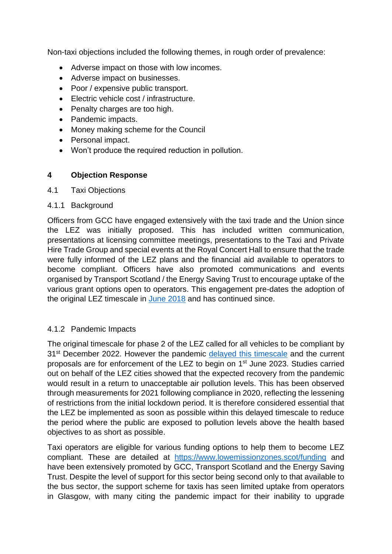Non-taxi objections included the following themes, in rough order of prevalence:

- Adverse impact on those with low incomes.
- Adverse impact on businesses.
- Poor / expensive public transport.
- Electric vehicle cost / infrastructure.
- Penalty charges are too high.
- Pandemic impacts.
- Money making scheme for the Council
- Personal impact.
- Won't produce the required reduction in pollution.

# **4 Objection Response**

#### 4.1 Taxi Objections

#### 4.1.1 Background

Officers from GCC have engaged extensively with the taxi trade and the Union since the LEZ was initially proposed. This has included written communication, presentations at licensing committee meetings, presentations to the Taxi and Private Hire Trade Group and special events at the Royal Concert Hall to ensure that the trade were fully informed of the LEZ plans and the financial aid available to operators to become compliant. Officers have also promoted communications and events organised by Transport Scotland / the Energy Saving Trust to encourage uptake of the various grant options open to operators. This engagement pre-dates the adoption of the original LEZ timescale in [June 2018](https://www.glasgow.gov.uk/councillorsandcommittees/viewDoc.asp?c=P62AFQDN2UZLDXZ3DN) and has continued since.

# 4.1.2 Pandemic Impacts

The original timescale for phase 2 of the LEZ called for all vehicles to be compliant by 31<sup>st</sup> December 2022. However the pandemic [delayed this timescale](https://www.glasgow.gov.uk/councillorsandcommittees/viewDoc.asp?c=P62AFQDNDX2UT1NT0G) and the current proposals are for enforcement of the LEZ to begin on 1st June 2023. Studies carried out on behalf of the LEZ cities showed that the expected recovery from the pandemic would result in a return to unacceptable air pollution levels. This has been observed through measurements for 2021 following compliance in 2020, reflecting the lessening of restrictions from the initial lockdown period. It is therefore considered essential that the LEZ be implemented as soon as possible within this delayed timescale to reduce the period where the public are exposed to pollution levels above the health based objectives to as short as possible.

Taxi operators are eligible for various funding options to help them to become LEZ compliant. These are detailed at <https://www.lowemissionzones.scot/funding> and have been extensively promoted by GCC, Transport Scotland and the Energy Saving Trust. Despite the level of support for this sector being second only to that available to the bus sector, the support scheme for taxis has seen limited uptake from operators in Glasgow, with many citing the pandemic impact for their inability to upgrade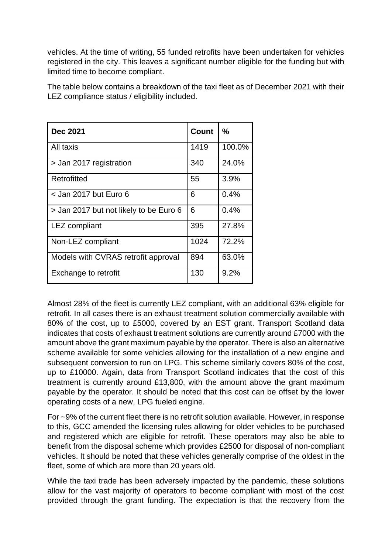vehicles. At the time of writing, 55 funded retrofits have been undertaken for vehicles registered in the city. This leaves a significant number eligible for the funding but with limited time to become compliant.

The table below contains a breakdown of the taxi fleet as of December 2021 with their LEZ compliance status / eligibility included.

| <b>Dec 2021</b>                        | Count | ℅      |
|----------------------------------------|-------|--------|
| All taxis                              | 1419  | 100.0% |
| > Jan 2017 registration                | 340   | 24.0%  |
| Retrofitted                            | 55    | 3.9%   |
| < Jan 2017 but Euro 6                  | 6     | 0.4%   |
| > Jan 2017 but not likely to be Euro 6 | 6     | 0.4%   |
| <b>LEZ</b> compliant                   | 395   | 27.8%  |
| Non-LEZ compliant                      | 1024  | 72.2%  |
| Models with CVRAS retrofit approval    | 894   | 63.0%  |
| Exchange to retrofit                   | 130   | 9.2%   |

Almost 28% of the fleet is currently LEZ compliant, with an additional 63% eligible for retrofit. In all cases there is an exhaust treatment solution commercially available with 80% of the cost, up to £5000, covered by an EST grant. Transport Scotland data indicates that costs of exhaust treatment solutions are currently around £7000 with the amount above the grant maximum payable by the operator. There is also an alternative scheme available for some vehicles allowing for the installation of a new engine and subsequent conversion to run on LPG. This scheme similarly covers 80% of the cost, up to £10000. Again, data from Transport Scotland indicates that the cost of this treatment is currently around £13,800, with the amount above the grant maximum payable by the operator. It should be noted that this cost can be offset by the lower operating costs of a new, LPG fueled engine.

For ~9% of the current fleet there is no retrofit solution available. However, in response to this, GCC amended the licensing rules allowing for older vehicles to be purchased and registered which are eligible for retrofit. These operators may also be able to benefit from the disposal scheme which provides £2500 for disposal of non-compliant vehicles. It should be noted that these vehicles generally comprise of the oldest in the fleet, some of which are more than 20 years old.

While the taxi trade has been adversely impacted by the pandemic, these solutions allow for the vast majority of operators to become compliant with most of the cost provided through the grant funding. The expectation is that the recovery from the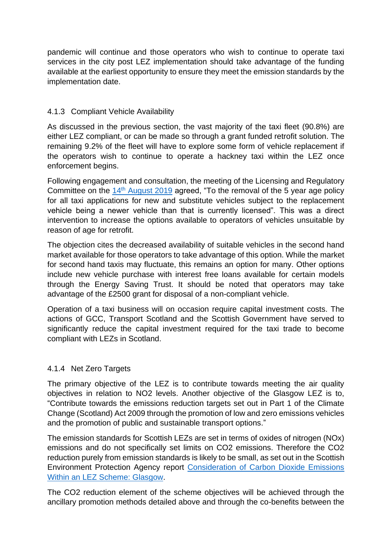pandemic will continue and those operators who wish to continue to operate taxi services in the city post LEZ implementation should take advantage of the funding available at the earliest opportunity to ensure they meet the emission standards by the implementation date.

# 4.1.3 Compliant Vehicle Availability

As discussed in the previous section, the vast majority of the taxi fleet (90.8%) are either LEZ compliant, or can be made so through a grant funded retrofit solution. The remaining 9.2% of the fleet will have to explore some form of vehicle replacement if the operators wish to continue to operate a hackney taxi within the LEZ once enforcement begins.

Following engagement and consultation, the meeting of the Licensing and Regulatory Committee on the 14th [August 2019](https://www.glasgow.gov.uk/councillorsandcommittees/viewDoc.asp?c=P62AFQDN0GDX81UT81) agreed, "To the removal of the 5 year age policy for all taxi applications for new and substitute vehicles subject to the replacement vehicle being a newer vehicle than that is currently licensed". This was a direct intervention to increase the options available to operators of vehicles unsuitable by reason of age for retrofit.

The objection cites the decreased availability of suitable vehicles in the second hand market available for those operators to take advantage of this option. While the market for second hand taxis may fluctuate, this remains an option for many. Other options include new vehicle purchase with interest free loans available for certain models through the Energy Saving Trust. It should be noted that operators may take advantage of the £2500 grant for disposal of a non-compliant vehicle.

Operation of a taxi business will on occasion require capital investment costs. The actions of GCC, Transport Scotland and the Scottish Government have served to significantly reduce the capital investment required for the taxi trade to become compliant with LEZs in Scotland.

# 4.1.4 Net Zero Targets

The primary objective of the LEZ is to contribute towards meeting the air quality objectives in relation to NO2 levels. Another objective of the Glasgow LEZ is to, "Contribute towards the emissions reduction targets set out in Part 1 of the Climate Change (Scotland) Act 2009 through the promotion of low and zero emissions vehicles and the promotion of public and sustainable transport options."

The emission standards for Scottish LEZs are set in terms of oxides of nitrogen (NOx) emissions and do not specifically set limits on CO2 emissions. Therefore the CO2 reduction purely from emission standards is likely to be small, as set out in the Scottish Environment Protection Agency report [Consideration of Carbon Dioxide Emissions](https://www.glasgow.gov.uk/CHttpHandler.ashx?id=55773&p=0)  [Within an LEZ Scheme: Glasgow.](https://www.glasgow.gov.uk/CHttpHandler.ashx?id=55773&p=0)

The CO2 reduction element of the scheme objectives will be achieved through the ancillary promotion methods detailed above and through the co-benefits between the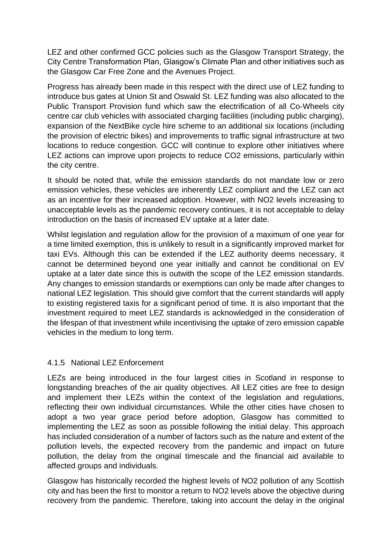LEZ and other confirmed GCC policies such as the Glasgow Transport Strategy, the City Centre Transformation Plan, Glasgow's Climate Plan and other initiatives such as the Glasgow Car Free Zone and the Avenues Project.

Progress has already been made in this respect with the direct use of LEZ funding to introduce bus gates at Union St and Oswald St. LEZ funding was also allocated to the Public Transport Provision fund which saw the electrification of all Co-Wheels city centre car club vehicles with associated charging facilities (including public charging), expansion of the NextBike cycle hire scheme to an additional six locations (including the provision of electric bikes) and improvements to traffic signal infrastructure at two locations to reduce congestion. GCC will continue to explore other initiatives where LEZ actions can improve upon projects to reduce CO2 emissions, particularly within the city centre.

It should be noted that, while the emission standards do not mandate low or zero emission vehicles, these vehicles are inherently LEZ compliant and the LEZ can act as an incentive for their increased adoption. However, with NO2 levels increasing to unacceptable levels as the pandemic recovery continues, it is not acceptable to delay introduction on the basis of increased EV uptake at a later date.

Whilst legislation and regulation allow for the provision of a maximum of one year for a time limited exemption, this is unlikely to result in a significantly improved market for taxi EVs. Although this can be extended if the LEZ authority deems necessary, it cannot be determined beyond one year initially and cannot be conditional on EV uptake at a later date since this is outwith the scope of the LEZ emission standards. Any changes to emission standards or exemptions can only be made after changes to national LEZ legislation. This should give comfort that the current standards will apply to existing registered taxis for a significant period of time. It is also important that the investment required to meet LEZ standards is acknowledged in the consideration of the lifespan of that investment while incentivising the uptake of zero emission capable vehicles in the medium to long term.

# 4.1.5 National LEZ Enforcement

LEZs are being introduced in the four largest cities in Scotland in response to longstanding breaches of the air quality objectives. All LEZ cities are free to design and implement their LEZs within the context of the legislation and regulations, reflecting their own individual circumstances. While the other cities have chosen to adopt a two year grace period before adoption, Glasgow has committed to implementing the LEZ as soon as possible following the initial delay. This approach has included consideration of a number of factors such as the nature and extent of the pollution levels, the expected recovery from the pandemic and impact on future pollution, the delay from the original timescale and the financial aid available to affected groups and individuals.

Glasgow has historically recorded the highest levels of NO2 pollution of any Scottish city and has been the first to monitor a return to NO2 levels above the objective during recovery from the pandemic. Therefore, taking into account the delay in the original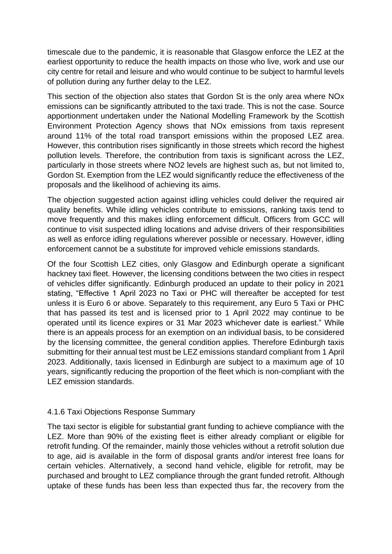timescale due to the pandemic, it is reasonable that Glasgow enforce the LEZ at the earliest opportunity to reduce the health impacts on those who live, work and use our city centre for retail and leisure and who would continue to be subject to harmful levels of pollution during any further delay to the LEZ.

This section of the objection also states that Gordon St is the only area where NOx emissions can be significantly attributed to the taxi trade. This is not the case. Source apportionment undertaken under the National Modelling Framework by the Scottish Environment Protection Agency shows that NOx emissions from taxis represent around 11% of the total road transport emissions within the proposed LEZ area. However, this contribution rises significantly in those streets which record the highest pollution levels. Therefore, the contribution from taxis is significant across the LEZ, particularly in those streets where NO2 levels are highest such as, but not limited to, Gordon St. Exemption from the LEZ would significantly reduce the effectiveness of the proposals and the likelihood of achieving its aims.

The objection suggested action against idling vehicles could deliver the required air quality benefits. While idling vehicles contribute to emissions, ranking taxis tend to move frequently and this makes idling enforcement difficult. Officers from GCC will continue to visit suspected idling locations and advise drivers of their responsibilities as well as enforce idling regulations wherever possible or necessary. However, idling enforcement cannot be a substitute for improved vehicle emissions standards.

Of the four Scottish LEZ cities, only Glasgow and Edinburgh operate a significant hackney taxi fleet. However, the licensing conditions between the two cities in respect of vehicles differ significantly. Edinburgh produced an update to their policy in 2021 stating, "Effective 1 April 2023 no Taxi or PHC will thereafter be accepted for test unless it is Euro 6 or above. Separately to this requirement, any Euro 5 Taxi or PHC that has passed its test and is licensed prior to 1 April 2022 may continue to be operated until its licence expires or 31 Mar 2023 whichever date is earliest." While there is an appeals process for an exemption on an individual basis, to be considered by the licensing committee, the general condition applies. Therefore Edinburgh taxis submitting for their annual test must be LEZ emissions standard compliant from 1 April 2023. Additionally, taxis licensed in Edinburgh are subject to a maximum age of 10 years, significantly reducing the proportion of the fleet which is non-compliant with the LEZ emission standards.

# 4.1.6 Taxi Objections Response Summary

The taxi sector is eligible for substantial grant funding to achieve compliance with the LEZ. More than 90% of the existing fleet is either already compliant or eligible for retrofit funding. Of the remainder, mainly those vehicles without a retrofit solution due to age, aid is available in the form of disposal grants and/or interest free loans for certain vehicles. Alternatively, a second hand vehicle, eligible for retrofit, may be purchased and brought to LEZ compliance through the grant funded retrofit. Although uptake of these funds has been less than expected thus far, the recovery from the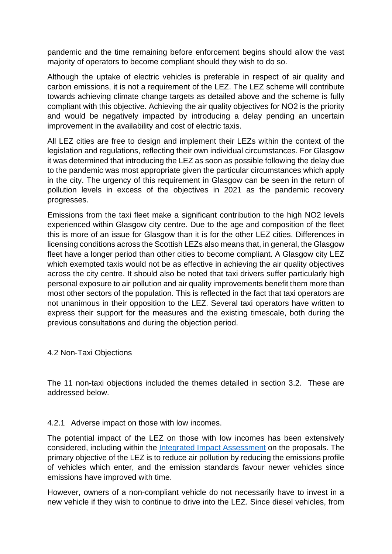pandemic and the time remaining before enforcement begins should allow the vast majority of operators to become compliant should they wish to do so.

Although the uptake of electric vehicles is preferable in respect of air quality and carbon emissions, it is not a requirement of the LEZ. The LEZ scheme will contribute towards achieving climate change targets as detailed above and the scheme is fully compliant with this objective. Achieving the air quality objectives for NO2 is the priority and would be negatively impacted by introducing a delay pending an uncertain improvement in the availability and cost of electric taxis.

All LEZ cities are free to design and implement their LEZs within the context of the legislation and regulations, reflecting their own individual circumstances. For Glasgow it was determined that introducing the LEZ as soon as possible following the delay due to the pandemic was most appropriate given the particular circumstances which apply in the city. The urgency of this requirement in Glasgow can be seen in the return of pollution levels in excess of the objectives in 2021 as the pandemic recovery progresses.

Emissions from the taxi fleet make a significant contribution to the high NO2 levels experienced within Glasgow city centre. Due to the age and composition of the fleet this is more of an issue for Glasgow than it is for the other LEZ cities. Differences in licensing conditions across the Scottish LEZs also means that, in general, the Glasgow fleet have a longer period than other cities to become compliant. A Glasgow city LEZ which exempted taxis would not be as effective in achieving the air quality objectives across the city centre. It should also be noted that taxi drivers suffer particularly high personal exposure to air pollution and air quality improvements benefit them more than most other sectors of the population. This is reflected in the fact that taxi operators are not unanimous in their opposition to the LEZ. Several taxi operators have written to express their support for the measures and the existing timescale, both during the previous consultations and during the objection period.

#### 4.2 Non-Taxi Objections

The 11 non-taxi objections included the themes detailed in section 3.2. These are addressed below.

# 4.2.1 Adverse impact on those with low incomes.

The potential impact of the LEZ on those with low incomes has been extensively considered, including within the [Integrated Impact Assessment](https://www.glasgow.gov.uk/CHttpHandler.ashx?id=53679&p=0) on the proposals. The primary objective of the LEZ is to reduce air pollution by reducing the emissions profile of vehicles which enter, and the emission standards favour newer vehicles since emissions have improved with time.

However, owners of a non-compliant vehicle do not necessarily have to invest in a new vehicle if they wish to continue to drive into the LEZ. Since diesel vehicles, from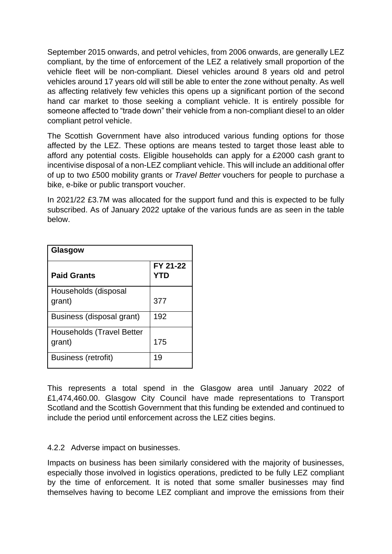September 2015 onwards, and petrol vehicles, from 2006 onwards, are generally LEZ compliant, by the time of enforcement of the LEZ a relatively small proportion of the vehicle fleet will be non-compliant. Diesel vehicles around 8 years old and petrol vehicles around 17 years old will still be able to enter the zone without penalty. As well as affecting relatively few vehicles this opens up a significant portion of the second hand car market to those seeking a compliant vehicle. It is entirely possible for someone affected to "trade down" their vehicle from a non-compliant diesel to an older compliant petrol vehicle.

The Scottish Government have also introduced various funding options for those affected by the LEZ. These options are means tested to target those least able to afford any potential costs. Eligible households can apply for a £2000 cash grant to incentivise disposal of a non-LEZ compliant vehicle. This will include an additional offer of up to two £500 mobility grants or *Travel Better* vouchers for people to purchase a bike, e-bike or public transport voucher.

In 2021/22 £3.7M was allocated for the support fund and this is expected to be fully subscribed. As of January 2022 uptake of the various funds are as seen in the table below.

| Glasgow                             |                 |  |
|-------------------------------------|-----------------|--|
| <b>Paid Grants</b>                  | FY 21-22<br>YTD |  |
| Households (disposal<br>grant)      | 377             |  |
| Business (disposal grant)           | 192             |  |
| Households (Travel Better<br>grant) | 175             |  |
| <b>Business (retrofit)</b>          | 19              |  |

This represents a total spend in the Glasgow area until January 2022 of £1,474,460.00. Glasgow City Council have made representations to Transport Scotland and the Scottish Government that this funding be extended and continued to include the period until enforcement across the LEZ cities begins.

# 4.2.2 Adverse impact on businesses.

Impacts on business has been similarly considered with the majority of businesses, especially those involved in logistics operations, predicted to be fully LEZ compliant by the time of enforcement. It is noted that some smaller businesses may find themselves having to become LEZ compliant and improve the emissions from their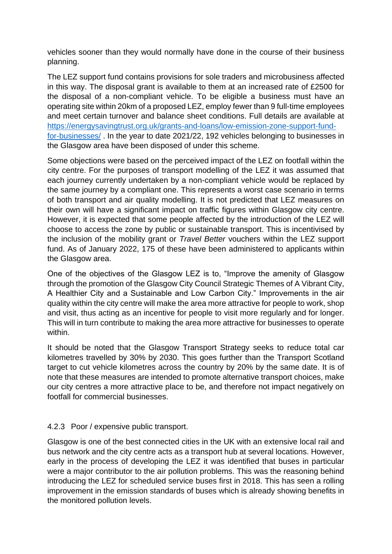vehicles sooner than they would normally have done in the course of their business planning.

The LEZ support fund contains provisions for sole traders and microbusiness affected in this way. The disposal grant is available to them at an increased rate of £2500 for the disposal of a non-compliant vehicle. To be eligible a business must have an operating site within 20km of a proposed LEZ, employ fewer than 9 full-time employees and meet certain turnover and balance sheet conditions. Full details are available at [https://energysavingtrust.org.uk/grants-and-loans/low-emission-zone-support-fund](https://energysavingtrust.org.uk/grants-and-loans/low-emission-zone-support-fund-for-businesses/)[for-businesses/](https://energysavingtrust.org.uk/grants-and-loans/low-emission-zone-support-fund-for-businesses/) . In the year to date 2021/22, 192 vehicles belonging to businesses in the Glasgow area have been disposed of under this scheme.

Some objections were based on the perceived impact of the LEZ on footfall within the city centre. For the purposes of transport modelling of the LEZ it was assumed that each journey currently undertaken by a non-compliant vehicle would be replaced by the same journey by a compliant one. This represents a worst case scenario in terms of both transport and air quality modelling. It is not predicted that LEZ measures on their own will have a significant impact on traffic figures within Glasgow city centre. However, it is expected that some people affected by the introduction of the LEZ will choose to access the zone by public or sustainable transport. This is incentivised by the inclusion of the mobility grant or *Travel Better* vouchers within the LEZ support fund. As of January 2022, 175 of these have been administered to applicants within the Glasgow area.

One of the objectives of the Glasgow LEZ is to, "Improve the amenity of Glasgow through the promotion of the Glasgow City Council Strategic Themes of A Vibrant City, A Healthier City and a Sustainable and Low Carbon City." Improvements in the air quality within the city centre will make the area more attractive for people to work, shop and visit, thus acting as an incentive for people to visit more regularly and for longer. This will in turn contribute to making the area more attractive for businesses to operate within.

It should be noted that the Glasgow Transport Strategy seeks to reduce total car kilometres travelled by 30% by 2030. This goes further than the Transport Scotland target to cut vehicle kilometres across the country by 20% by the same date. It is of note that these measures are intended to promote alternative transport choices, make our city centres a more attractive place to be, and therefore not impact negatively on footfall for commercial businesses.

# 4.2.3 Poor / expensive public transport.

Glasgow is one of the best connected cities in the UK with an extensive local rail and bus network and the city centre acts as a transport hub at several locations. However, early in the process of developing the LEZ it was identified that buses in particular were a major contributor to the air pollution problems. This was the reasoning behind introducing the LEZ for scheduled service buses first in 2018. This has seen a rolling improvement in the emission standards of buses which is already showing benefits in the monitored pollution levels.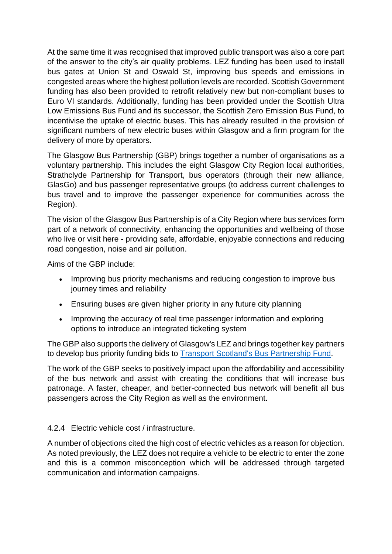At the same time it was recognised that improved public transport was also a core part of the answer to the city's air quality problems. LEZ funding has been used to install bus gates at Union St and Oswald St, improving bus speeds and emissions in congested areas where the highest pollution levels are recorded. Scottish Government funding has also been provided to retrofit relatively new but non-compliant buses to Euro VI standards. Additionally, funding has been provided under the Scottish Ultra Low Emissions Bus Fund and its successor, the Scottish Zero Emission Bus Fund, to incentivise the uptake of electric buses. This has already resulted in the provision of significant numbers of new electric buses within Glasgow and a firm program for the delivery of more by operators.

The Glasgow Bus Partnership (GBP) brings together a number of organisations as a voluntary partnership. This includes the eight Glasgow City Region local authorities, Strathclyde Partnership for Transport, bus operators (through their new alliance, GlasGo) and bus passenger representative groups (to address current challenges to bus travel and to improve the passenger experience for communities across the Region).

The vision of the Glasgow Bus Partnership is of a City Region where bus services form part of a network of connectivity, enhancing the opportunities and wellbeing of those who live or visit here - providing safe, affordable, enjoyable connections and reducing road congestion, noise and air pollution.

Aims of the GBP include:

- Improving bus priority mechanisms and reducing congestion to improve bus journey times and reliability
- Ensuring buses are given higher priority in any future city planning
- Improving the accuracy of real time passenger information and exploring options to introduce an integrated ticketing system

The GBP also supports the delivery of Glasgow's LEZ and brings together key partners to develop bus priority funding bids to [Transport Scotland's Bus Partnership Fund.](https://www.transport.gov.scot/public-transport/buses/bus-partnership-fund/)

The work of the GBP seeks to positively impact upon the affordability and accessibility of the bus network and assist with creating the conditions that will increase bus patronage. A faster, cheaper, and better-connected bus network will benefit all bus passengers across the City Region as well as the environment.

# 4.2.4 Electric vehicle cost / infrastructure.

A number of objections cited the high cost of electric vehicles as a reason for objection. As noted previously, the LEZ does not require a vehicle to be electric to enter the zone and this is a common misconception which will be addressed through targeted communication and information campaigns.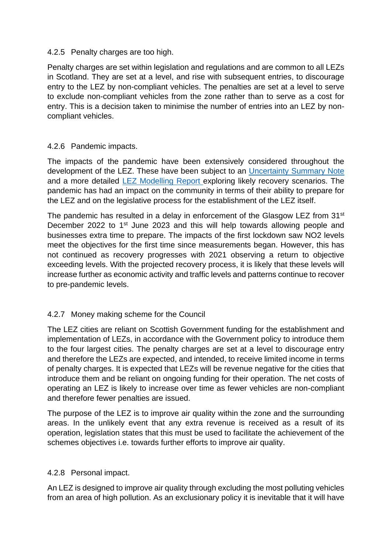#### 4.2.5 Penalty charges are too high.

Penalty charges are set within legislation and regulations and are common to all LEZs in Scotland. They are set at a level, and rise with subsequent entries, to discourage entry to the LEZ by non-compliant vehicles. The penalties are set at a level to serve to exclude non-compliant vehicles from the zone rather than to serve as a cost for entry. This is a decision taken to minimise the number of entries into an LEZ by noncompliant vehicles.

#### 4.2.6 Pandemic impacts.

The impacts of the pandemic have been extensively considered throughout the development of the LEZ. These have been subject to an [Uncertainty Summary Note](https://www.glasgow.gov.uk/CHttpHandler.ashx?id=53677&p=0) and a more detailed [LEZ Modelling Report e](https://www.glasgow.gov.uk/CHttpHandler.ashx?id=53678&p=0)xploring likely recovery scenarios. The pandemic has had an impact on the community in terms of their ability to prepare for the LEZ and on the legislative process for the establishment of the LEZ itself.

The pandemic has resulted in a delay in enforcement of the Glasgow LEZ from 31<sup>st</sup> December 2022 to 1<sup>st</sup> June 2023 and this will help towards allowing people and businesses extra time to prepare. The impacts of the first lockdown saw NO2 levels meet the objectives for the first time since measurements began. However, this has not continued as recovery progresses with 2021 observing a return to objective exceeding levels. With the projected recovery process, it is likely that these levels will increase further as economic activity and traffic levels and patterns continue to recover to pre-pandemic levels.

# 4.2.7 Money making scheme for the Council

The LEZ cities are reliant on Scottish Government funding for the establishment and implementation of LEZs, in accordance with the Government policy to introduce them to the four largest cities. The penalty charges are set at a level to discourage entry and therefore the LEZs are expected, and intended, to receive limited income in terms of penalty charges. It is expected that LEZs will be revenue negative for the cities that introduce them and be reliant on ongoing funding for their operation. The net costs of operating an LEZ is likely to increase over time as fewer vehicles are non-compliant and therefore fewer penalties are issued.

The purpose of the LEZ is to improve air quality within the zone and the surrounding areas. In the unlikely event that any extra revenue is received as a result of its operation, legislation states that this must be used to facilitate the achievement of the schemes objectives i.e. towards further efforts to improve air quality.

# 4.2.8 Personal impact.

An LEZ is designed to improve air quality through excluding the most polluting vehicles from an area of high pollution. As an exclusionary policy it is inevitable that it will have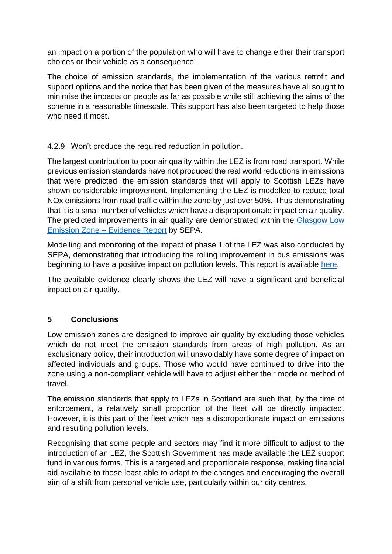an impact on a portion of the population who will have to change either their transport choices or their vehicle as a consequence.

The choice of emission standards, the implementation of the various retrofit and support options and the notice that has been given of the measures have all sought to minimise the impacts on people as far as possible while still achieving the aims of the scheme in a reasonable timescale. This support has also been targeted to help those who need it most.

# 4.2.9 Won't produce the required reduction in pollution.

The largest contribution to poor air quality within the LEZ is from road transport. While previous emission standards have not produced the real world reductions in emissions that were predicted, the emission standards that will apply to Scottish LEZs have shown considerable improvement. Implementing the LEZ is modelled to reduce total NOx emissions from road traffic within the zone by just over 50%. Thus demonstrating that it is a small number of vehicles which have a disproportionate impact on air quality. The predicted improvements in air quality are demonstrated within the [Glasgow Low](https://www.glasgow.gov.uk/CHttpHandler.ashx?id=55000&p=0)  [Emission Zone –](https://www.glasgow.gov.uk/CHttpHandler.ashx?id=55000&p=0) Evidence Report by SEPA.

Modelling and monitoring of the impact of phase 1 of the LEZ was also conducted by SEPA, demonstrating that introducing the rolling improvement in bus emissions was beginning to have a positive impact on pollution levels. This report is available [here.](https://www.glasgow.gov.uk/CHttpHandler.ashx?id=53674&p=0)

The available evidence clearly shows the LEZ will have a significant and beneficial impact on air quality.

# **5 Conclusions**

Low emission zones are designed to improve air quality by excluding those vehicles which do not meet the emission standards from areas of high pollution. As an exclusionary policy, their introduction will unavoidably have some degree of impact on affected individuals and groups. Those who would have continued to drive into the zone using a non-compliant vehicle will have to adjust either their mode or method of travel.

The emission standards that apply to LEZs in Scotland are such that, by the time of enforcement, a relatively small proportion of the fleet will be directly impacted. However, it is this part of the fleet which has a disproportionate impact on emissions and resulting pollution levels.

Recognising that some people and sectors may find it more difficult to adjust to the introduction of an LEZ, the Scottish Government has made available the LEZ support fund in various forms. This is a targeted and proportionate response, making financial aid available to those least able to adapt to the changes and encouraging the overall aim of a shift from personal vehicle use, particularly within our city centres.